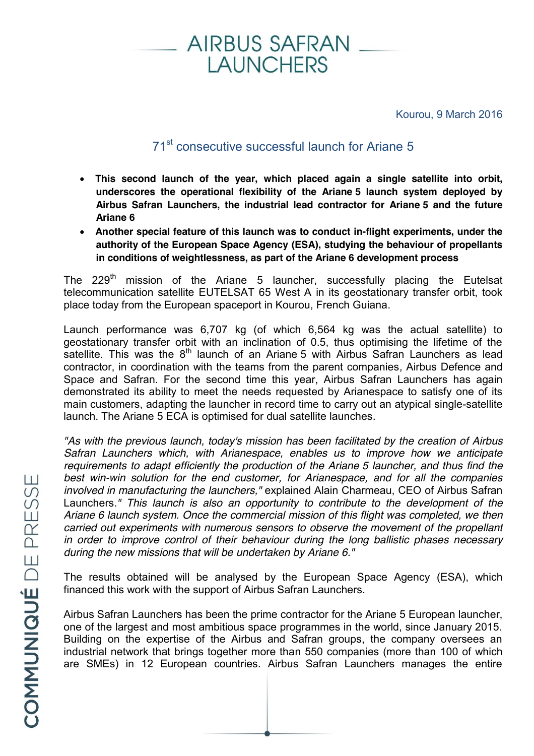

Kourou, 9 March 2016

## 71st consecutive successful launch for Ariane 5

- x **This second launch of the year, which placed again a single satellite into orbit, underscores the operational flexibility of the Ariane 5 launch system deployed by Airbus Safran Launchers, the industrial lead contractor for Ariane 5 and the future Ariane 6**
- x **Another special feature of this launch was to conduct in-flight experiments, under the authority of the European Space Agency (ESA), studying the behaviour of propellants in conditions of weightlessness, as part of the Ariane 6 development process**

The 229<sup>th</sup> mission of the Ariane 5 launcher, successfully placing the Eutelsat telecommunication satellite EUTELSAT 65 West A in its geostationary transfer orbit, took place today from the European spaceport in Kourou, French Guiana.

Launch performance was 6,707 kg (of which 6,564 kg was the actual satellite) to geostationary transfer orbit with an inclination of 0.5, thus optimising the lifetime of the satellite. This was the  $8<sup>th</sup>$  launch of an Ariane 5 with Airbus Safran Launchers as lead contractor, in coordination with the teams from the parent companies, Airbus Defence and Space and Safran. For the second time this year, Airbus Safran Launchers has again demonstrated its ability to meet the needs requested by Arianespace to satisfy one of its main customers, adapting the launcher in record time to carry out an atypical single-satellite launch. The Ariane 5 ECA is optimised for dual satellite launches.

*"As with the previous launch, today's mission has been facilitated by the creation of Airbus Safran Launchers which, with Arianespace, enables us to improve how we anticipate requirements to adapt efficiently the production of the Ariane 5 launcher, and thus find the best win-win solution for the end customer, for Arianespace, and for all the companies involved in manufacturing the launchers,"* explained Alain Charmeau, CEO of Airbus Safran Launchers*." This launch is also an opportunity to contribute to the development of the Ariane 6 launch system. Once the commercial mission of this flight was completed, we then carried out experiments with numerous sensors to observe the movement of the propellant in order to improve control of their behaviour during the long ballistic phases necessary during the new missions that will be undertaken by Ariane 6."*

The results obtained will be analysed by the European Space Agency (ESA), which financed this work with the support of Airbus Safran Launchers.

Airbus Safran Launchers has been the prime contractor for the Ariane 5 European launcher, one of the largest and most ambitious space programmes in the world, since January 2015. Building on the expertise of the Airbus and Safran groups, the company oversees an industrial network that brings together more than 550 companies (more than 100 of which are SMEs) in 12 European countries. Airbus Safran Launchers manages the entire